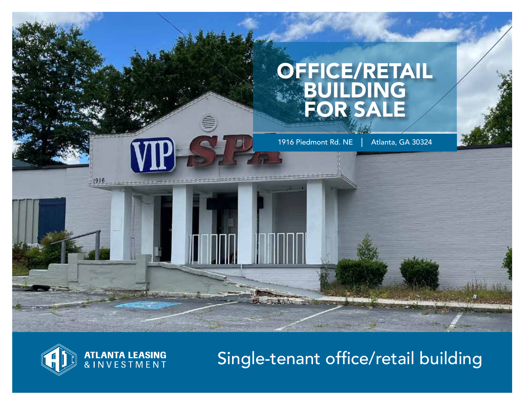# OFFICE/RETAIL BUILDING FOR SALE

1916 Piedmont Rd. NE | Atlanta, GA 30324



# Single-tenant office/retail building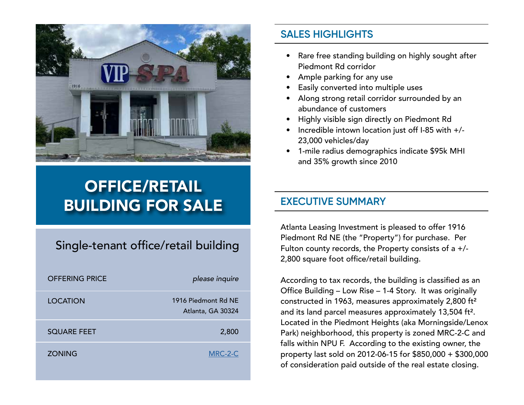

# OFFICE/RETAIL BUILDING FOR SALE

## Single-tenant office/retail building

| <b>OFFERING PRICE</b> | please inquire                           |
|-----------------------|------------------------------------------|
| <b>LOCATION</b>       | 1916 Piedmont Rd NE<br>Atlanta, GA 30324 |
| <b>SQUARE FEET</b>    | 2,800                                    |
| <b>ZONING</b>         | MRC-2-C                                  |

## **SALES HIGHLIGHTS**

- Rare free standing building on highly sought after Piedmont Rd corridor
- Ample parking for any use
- Easily converted into multiple uses
- Along strong retail corridor surrounded by an abundance of customers
- Highly visible sign directly on Piedmont Rd
- Incredible intown location just off I-85 with +/- 23,000 vehicles/day
- 1-mile radius demographics indicate \$95k MHI and 35% growth since 2010

## **EXECUTIVE SUMMARY**

Atlanta Leasing Investment is pleased to offer 1916 Piedmont Rd NE (the "Property") for purchase. Per Fulton county records, the Property consists of a +/- 2,800 square foot office/retail building.

According to tax records, the building is classified as an Office Building – Low Rise – 1-4 Story. It was originally constructed in 1963, measures approximately 2,800 ft² and its land parcel measures approximately 13,504 ft². Located in the Piedmont Heights (aka Morningside/Lenox Park) neighborhood, this property is zoned MRC-2-C and falls within NPU F. According to the existing owner, the property last sold on 2012-06-15 for \$850,000 + \$300,000 of consideration paid outside of the real estate closing.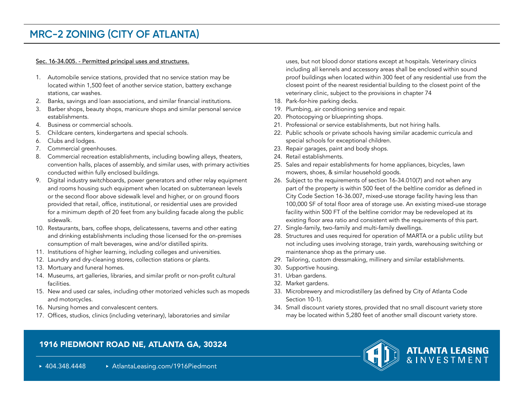## **MRC-2 ZONING (CITY OF ATLANTA)**

#### Sec. 16-34.005. - Permitted principal uses and structures.

- 1. Automobile service stations, provided that no service station may be located within 1,500 feet of another service station, battery exchange stations, car washes.
- 2. Banks, savings and loan associations, and similar financial institutions.
- 3. Barber shops, beauty shops, manicure shops and similar personal service establishments.
- 4. Business or commercial schools.
- 5. Childcare centers, kindergartens and special schools.
- 6. Clubs and lodges.
- 7. Commercial greenhouses.
- 8. Commercial recreation establishments, including bowling alleys, theaters, convention halls, places of assembly, and similar uses, with primary activities conducted within fully enclosed buildings.
- 9. Digital industry switchboards, power generators and other relay equipment and rooms housing such equipment when located on subterranean levels or the second floor above sidewalk level and higher, or on ground floors provided that retail, office, institutional, or residential uses are provided for a minimum depth of 20 feet from any building facade along the public sidewalk.
- 10. Restaurants, bars, coffee shops, delicatessens, taverns and other eating and drinking establishments including those licensed for the on-premises consumption of malt beverages, wine and/or distilled spirits.
- 11. Institutions of higher learning, including colleges and universities.
- 12. Laundry and dry-cleaning stores, collection stations or plants.
- 13. Mortuary and funeral homes.
- 14. Museums, art galleries, libraries, and similar profit or non-profit cultural facilities.
- 15. New and used car sales, including other motorized vehicles such as mopeds and motorcycles.
- 16. Nursing homes and convalescent centers.
- 17. Offices, studios, clinics (including veterinary), laboratories and similar

uses, but not blood donor stations except at hospitals. Veterinary clinics including all kennels and accessory areas shall be enclosed within sound proof buildings when located within 300 feet of any residential use from the closest point of the nearest residential building to the closest point of the veterinary clinic, subject to the provisions in chapter 74

- 18. Park-for-hire parking decks.
- 19. Plumbing, air conditioning service and repair.
- 20. Photocopying or blueprinting shops.
- 21. Professional or service establishments, but not hiring halls.
- 22. Public schools or private schools having similar academic curricula and special schools for exceptional children.
- 23. Repair garages, paint and body shops.
- 24. Retail establishments.
- 25. Sales and repair establishments for home appliances, bicycles, lawn mowers, shoes, & similar household goods.
- 26. Subject to the requirements of section 16-34.010(7) and not when any part of the property is within 500 feet of the beltline corridor as defined in City Code Section 16-36.007, mixed-use storage facility having less than 100,000 SF of total floor area of storage use. An existing mixed-use storage facility within 500 FT of the beltline corridor may be redeveloped at its existing floor area ratio and consistent with the requirements of this part.
- 27. Single-family, two-family and multi-family dwellings.
- 28. Structures and uses required for operation of MARTA or a public utility but not including uses involving storage, train yards, warehousing switching or maintenance shop as the primary use.
- 29. Tailoring, custom dressmaking, millinery and similar establishments.
- 30. Supportive housing.
- 31. Urban gardens.
- 32. Market gardens.
- 33. Microbrewery and microdistillery (as defined by City of Atlanta Code Section 10-1).
- 34. Small discount variety stores, provided that no small discount variety store may be located within 5,280 feet of another small discount variety store.

### 1916 PIEDMONT ROAD NE, ATLANTA GA, 30324



▶ 404.348.4448 → AtlantaLeasing.com/1916Piedmont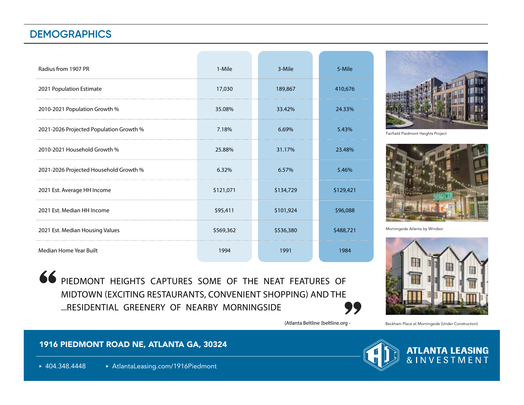## **DEMOGRAPHICS**

| Radius from 1907 PR                     | 1-Mile    | 3-Mile    | 5-Mile    |
|-----------------------------------------|-----------|-----------|-----------|
| 2021 Population Estimate                | 17,030    | 189,867   | 410,676   |
| 2010-2021 Population Growth %           | 35.08%    | 33.42%    | 24.33%    |
| 2021-2026 Projected Population Growth % | 7.18%     | 6.69%     | 5.43%     |
| 2010-2021 Household Growth %            | 25.88%    | 31.17%    | 23.48%    |
| 2021-2026 Projected Household Growth %  | 6.32%     | 6.57%     | 5.46%     |
| 2021 Est. Average HH Income             | \$121,071 | \$134,729 | \$129,421 |
| 2021 Est. Median HH Income              | \$95,411  | \$101,924 | \$96,088  |
| 2021 Est. Median Housing Values         | \$569,362 | \$536,380 | \$488,721 |
| Median Home Year Built                  | 1994      | 1991      | 1984      |

66 PIEDMONT HEIGHTS CAPTURES SOME OF THE NEAT FEATURES OF

...RESIDENTIAL GREENERY OF NEARBY MORNINGSIDE

MIDTOWN (EXCITING RESTAURANTS, CONVENIENT SHOPPING) AND THE



Fairfield Piedmont Heights Project



Morningside Atlanta by Windsor



)Atlanta Beltline (beltline.org -

77

#### Beckham Place at Morningside (Under Construction)

### 1916 PIEDMONT ROAD NE, ATLANTA GA, 30324

▶ 404.348.4448 **AtlantaLeasing.com/1916Piedmont** 



**ATLANTA LEASING**<br>& INVESTMENT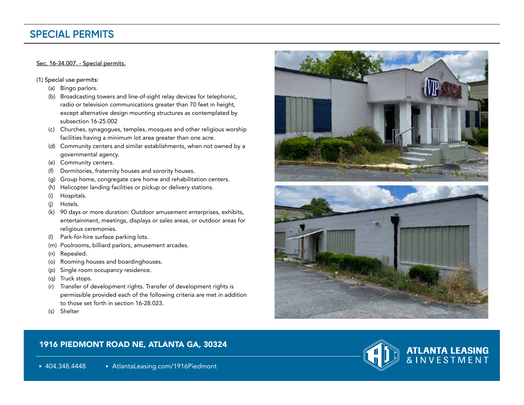## **SPECIAL PERMITS**

#### Sec. 16-34.007. - Special permits.

(1) Special use permits:

- (a) Bingo parlors.
- (b) Broadcasting towers and line-of-sight relay devices for telephonic, radio or television communications greater than 70 feet in height, except alternative design mounting structures as contemplated by subsection 16-25.002
- (c) Churches, synagogues, temples, mosques and other religious worship facilities having a minimum lot area greater than one acre.
- (d) Community centers and similar establishments, when not owned by a governmental agency.
- (e) Community centers.
- (f) Dormitories, fraternity houses and sorority houses.
- (g) Group home, congregate care home and rehabilitation centers.
- (h) Helicopter landing facilities or pickup or delivery stations.
- (i) Hospitals.
- (j) Hotels.
- (k) 90 days or more duration: Outdoor amusement enterprises, exhibits, entertainment, meetings, displays or sales areas, or outdoor areas for religious ceremonies.
- (l) Park-for-hire surface parking lots.
- (m) Poolrooms, billiard parlors, amusement arcades.
- (n) Repealed.
- (o) Rooming houses and boardinghouses.
- (p) Single room occupancy residence.
- (q) Truck stops.
- (r) Transfer of development rights. Transfer of development rights is permissible provided each of the following criteria are met in addition to those set forth in section 16-28.023.
- (s) Shelter

### 1916 PIEDMONT ROAD NE, ATLANTA GA, 30324

▶ 404.348.4448 **AtlantaLeasing.com/1916Piedmont** 







**ATLANTA LEASING**<br>& INVESTMENT